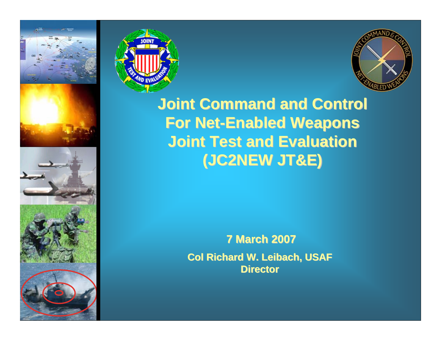











**Joint Command and Control Joint Command and Control For Net-Enabled Weapons Joint Test and Evaluation Joint Test and Evaluation(JC2NEW JT&E) (JC2NEW JT&E)**

> **7 March 2007 7 March 2007 Col Richard W. Leibach, USAF Col Richard W. Leibach, USAF Director Director**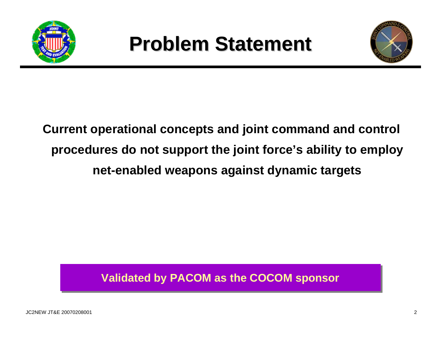



## **Current operational concepts and joint command and control procedures do not support the joint force's ability to employ net-enabled weapons against dynamic targets**

#### **Validated by PACOM as the COCOM sponsor Validated by PACOM as the COCOM sponsor**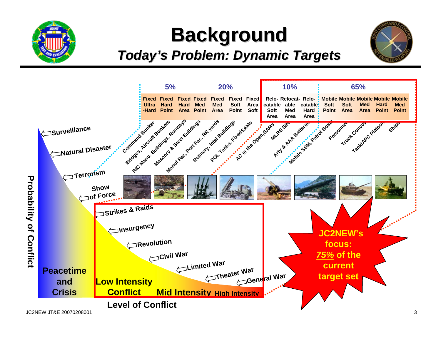

## **Background Background**

### *Today's Problem: Dynamic Targets Today's Problem: Dynamic Targets*



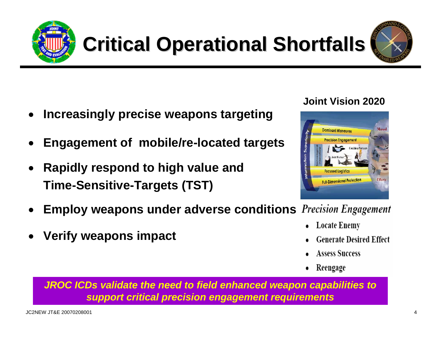**Critical Operational Shortfalls** 

- •**Increasingly precise weapons targeting**
- •**Engagement of mobile/re-located targets**
- • **Rapidly respond to high value and Time-Sensitive-Targets (TST)**
- •**Employ weapons under adverse conditions**
- •**Verify weapons impact**
- **Joint Vision 2020**
- 
- **Massed Dominant Maneuver Precision Engagement Coalition Partners Focused Logistics Full-Dimensional Profection**

**Generate Desired Effect** 

**Locate Enemy** 

- **Assess Success**
- Reengage

*JROC ICDs validate the need to field enhanced weapon capabilities to support critical precision engagement requirements*



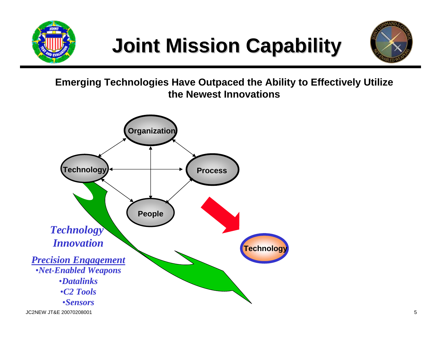





**Emerging Technologies Have Outpaced the Ability to Effectively Utilize the Newest Innovations**

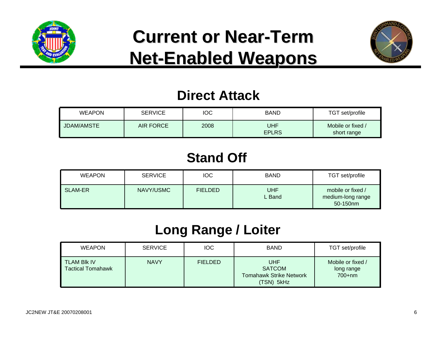

## **Current or Near Current or Near-Term Net-Enabled Weapons**



### **Direct Attack**

| <b>WEAPON</b>     | <b>SERVICE</b>   | IOC  | <b>BAND</b>         | TGT set/profile                  |
|-------------------|------------------|------|---------------------|----------------------------------|
| <b>JDAM/AMSTE</b> | <b>AIR FORCE</b> | 2008 | UHF<br><b>EPLRS</b> | Mobile or fixed /<br>short range |

### **Stand Off**

| <b>WEAPON</b>  | <b>SERVICE</b> | <b>IOC</b>     | <b>BAND</b>          | TGT set/profile                                    |
|----------------|----------------|----------------|----------------------|----------------------------------------------------|
| <b>SLAM-ER</b> | NAVY/USMC      | <b>FIELDED</b> | <b>UHF</b><br>L Band | mobile or fixed /<br>medium-long range<br>50-150nm |

## **Long Range / Loiter**

| <b>WEAPON</b>                                  | <b>SERVICE</b> | <b>IOC</b>     | <b>BAND</b>                                                                 | TGT set/profile                             |
|------------------------------------------------|----------------|----------------|-----------------------------------------------------------------------------|---------------------------------------------|
| <b>TLAM BIK IV</b><br><b>Tactical Tomahawk</b> | <b>NAVY</b>    | <b>FIELDED</b> | <b>UHF</b><br><b>SATCOM</b><br><b>Tomahawk Strike Network</b><br>(TSN) 5kHz | Mobile or fixed /<br>long range<br>$700+nm$ |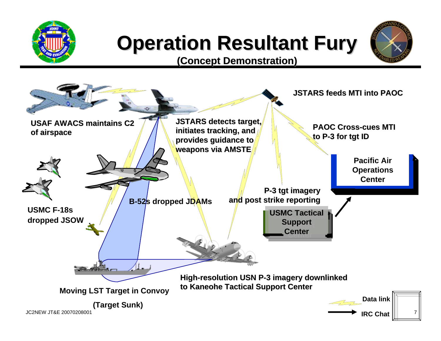

# **Operation Resultant Fury**



**(Concept Demonstration) (Concept Demonstration)**

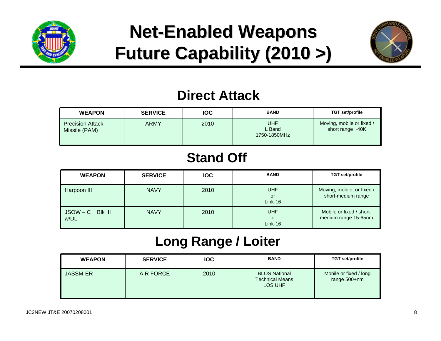

## **Net-Enabled Weapons Future Capability (2010 >) Future Capability (2010 >)**



### **Direct Attack**

| <b>WEAPON</b>                            | <b>SERVICE</b> | <b>IOC</b> | <b>BAND</b>                          | TGT set/profile                                 |
|------------------------------------------|----------------|------------|--------------------------------------|-------------------------------------------------|
| <b>Precision Attack</b><br>Missile (PAM) | <b>ARMY</b>    | 2010       | <b>UHF</b><br>L Band<br>1750-1850MHz | Moving, mobile or fixed /<br>short range $~10K$ |

### **Stand Off**

| <b>WEAPON</b>          | <b>SERVICE</b> | <b>IOC</b> | <b>BAND</b>                   | <b>TGT set/profile</b>                           |
|------------------------|----------------|------------|-------------------------------|--------------------------------------------------|
| Harpoon III            | <b>NAVY</b>    | 2010       | <b>UHF</b><br>or<br>$Link-16$ | Moving, mobile, or fixed /<br>short-medium range |
| JSOW-C BIK III<br>w/DL | <b>NAVY</b>    | 2010       | <b>UHF</b><br>or<br>$Link-16$ | Mobile or fixed / short-<br>medium range 15-65nm |

### **Long Range / Loiter**

| <b>WEAPON</b>   | <b>SERVICE</b> | <b>IOC</b> | <b>BAND</b>                                               | TGT set/profile                        |
|-----------------|----------------|------------|-----------------------------------------------------------|----------------------------------------|
| <b>JASSM-ER</b> | AIR FORCE      | 2010       | <b>BLOS National</b><br><b>Technical Means</b><br>LOS UHF | Mobile or fixed / long<br>range 500+nm |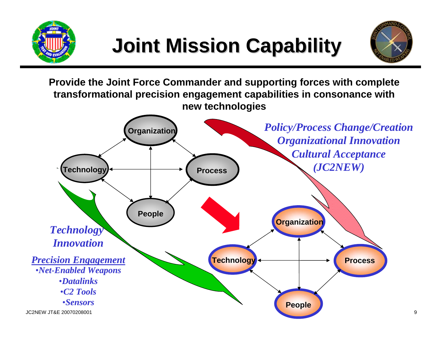



**Provide the Joint Force Commander and supporting forces with complete transformational precision engagement capabilities in consonance with new technologies** 

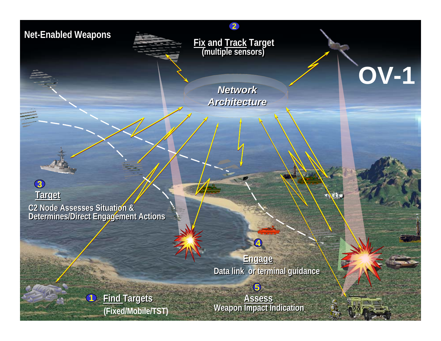#### **Net-Enabled Weapons Net-Enabled Weapons**

**Fix and Track Target (multiple sensors) Fix and Track Target (multiple sensors)**

**2**

*Network Network Architecture Architecture* **OV-1**

्रहरू:

**C2 Node Assesses Situation & Determines/Direct Engagement Actions C2 Node Assesses Situation & Determines/Direct Engagement Actions Target**

**1**

JC2NEW JOSEPH JOSEPH JOSEPH JOSEPH JOSEPH JOSEPH JOSEPH JOSEPH JOSEPH JOSEPH JOSEPH JOSEPH JOSEPH JOSEPH JOSEPH JOSEPH JOSEPH JOSEPH JOSEPH JOSEPH JOSEPH JOSEPH JOSEPH JOSEPH JOSEPH JOSEPH JOSEPH JOSEPH JOSEPH JOSEPH JOSEP

**3**

**Engage Data link or terminal guidance** 

**Find Targets Targets**

external control of the control of the control of the control of the control of the control of the control of t<br>The control of the control of the control of the control of the control of the control of the control of the **Assess Weapon Impact Indication** 

**5**

**4**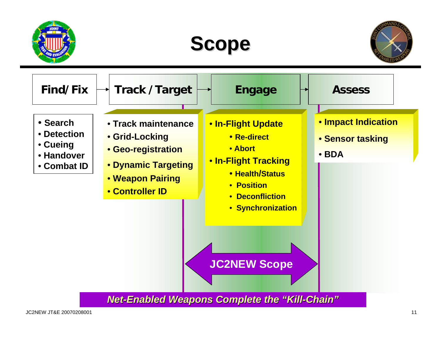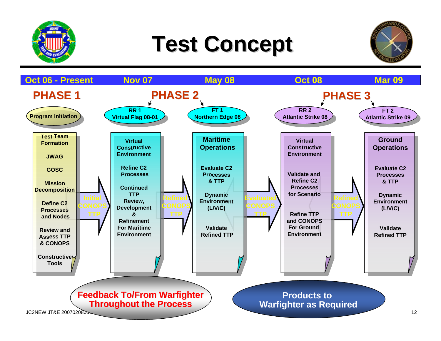

# **Test Concept Test Concept**



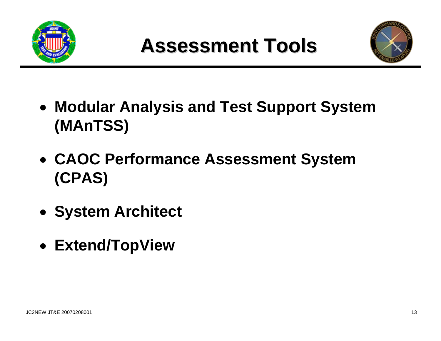



- **Modular Analysis and Test Support System (MAnTSS)**
- **CAOC Performance Assessment System (CPAS)**
- **System Architect**
- **Extend/TopView**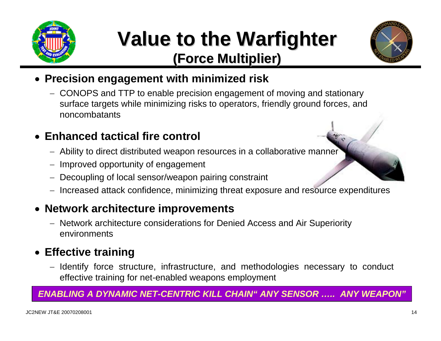

## **Value to the Warfighter Value to the Warfighter (Force Multiplier) (Force Multiplier)**



#### • **Precision engagement with minimized risk**

− CONOPS and TTP to enable precision engagement of moving and stationary surface targets while minimizing risks to operators, friendly ground forces, and noncombatants

#### • **Enhanced tactical fire control**

- − Ability to direct distributed weapon resources in a collaborative manner
- Improved opportunity of engagement
- Decoupling of local sensor/weapon pairing constraint
- − Increased attack confidence, minimizing threat exposure and resource expenditures

#### • **Network architecture improvements**

− Network architecture considerations for Denied Access and Air Superiority environments

#### • **Effective training**

− Identify force structure, infrastructure, and methodologies necessary to conduct effective training for net-enabled weapons employment

#### *ENABLING A DYNAMIC NET-CENTRIC KILL CHAIN" ANY SENSOR ….. ANY WEAPON"*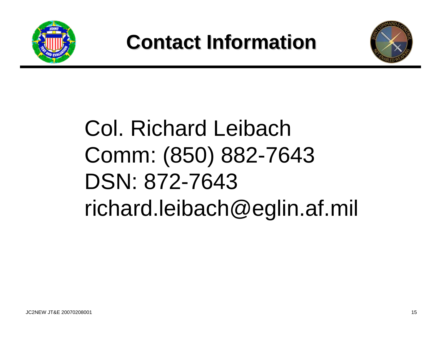



# Col. Richard Leibach Comm: (850) 882-7643 DSN: 872-7643 richard.leibach@eglin.af.mil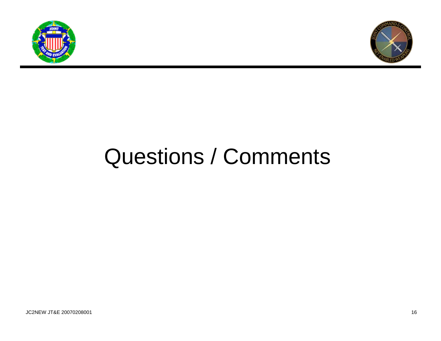



# Questions / Comments